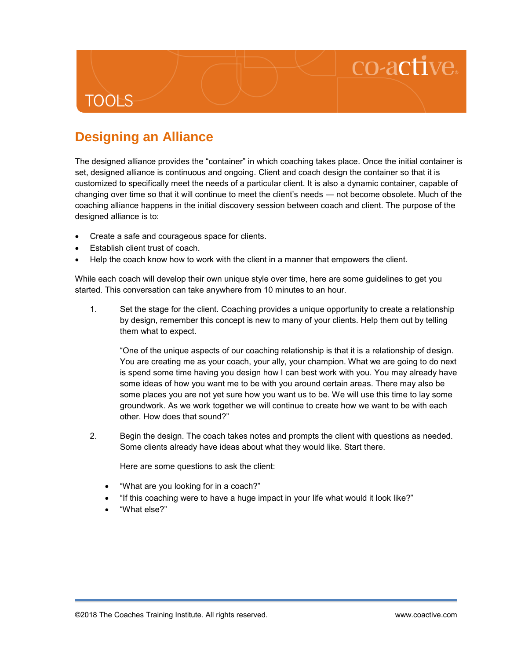## **TOOLS**

## **Designing an Alliance**

The designed alliance provides the "container" in which coaching takes place. Once the initial container is set, designed alliance is continuous and ongoing. Client and coach design the container so that it is customized to specifically meet the needs of a particular client. It is also a dynamic container, capable of changing over time so that it will continue to meet the client's needs — not become obsolete. Much of the coaching alliance happens in the initial discovery session between coach and client. The purpose of the designed alliance is to:

- Create a safe and courageous space for clients.
- Establish client trust of coach.
- Help the coach know how to work with the client in a manner that empowers the client.

While each coach will develop their own unique style over time, here are some guidelines to get you started. This conversation can take anywhere from 10 minutes to an hour.

1. Set the stage for the client. Coaching provides a unique opportunity to create a relationship by design, remember this concept is new to many of your clients. Help them out by telling them what to expect.

"One of the unique aspects of our coaching relationship is that it is a relationship of design. You are creating me as your coach, your ally, your champion. What we are going to do next is spend some time having you design how I can best work with you. You may already have some ideas of how you want me to be with you around certain areas. There may also be some places you are not yet sure how you want us to be. We will use this time to lay some groundwork. As we work together we will continue to create how we want to be with each other. How does that sound?"

2. Begin the design. The coach takes notes and prompts the client with questions as needed. Some clients already have ideas about what they would like. Start there.

Here are some questions to ask the client:

- "What are you looking for in a coach?"
- "If this coaching were to have a huge impact in your life what would it look like?"
- "What else?"

co-active.